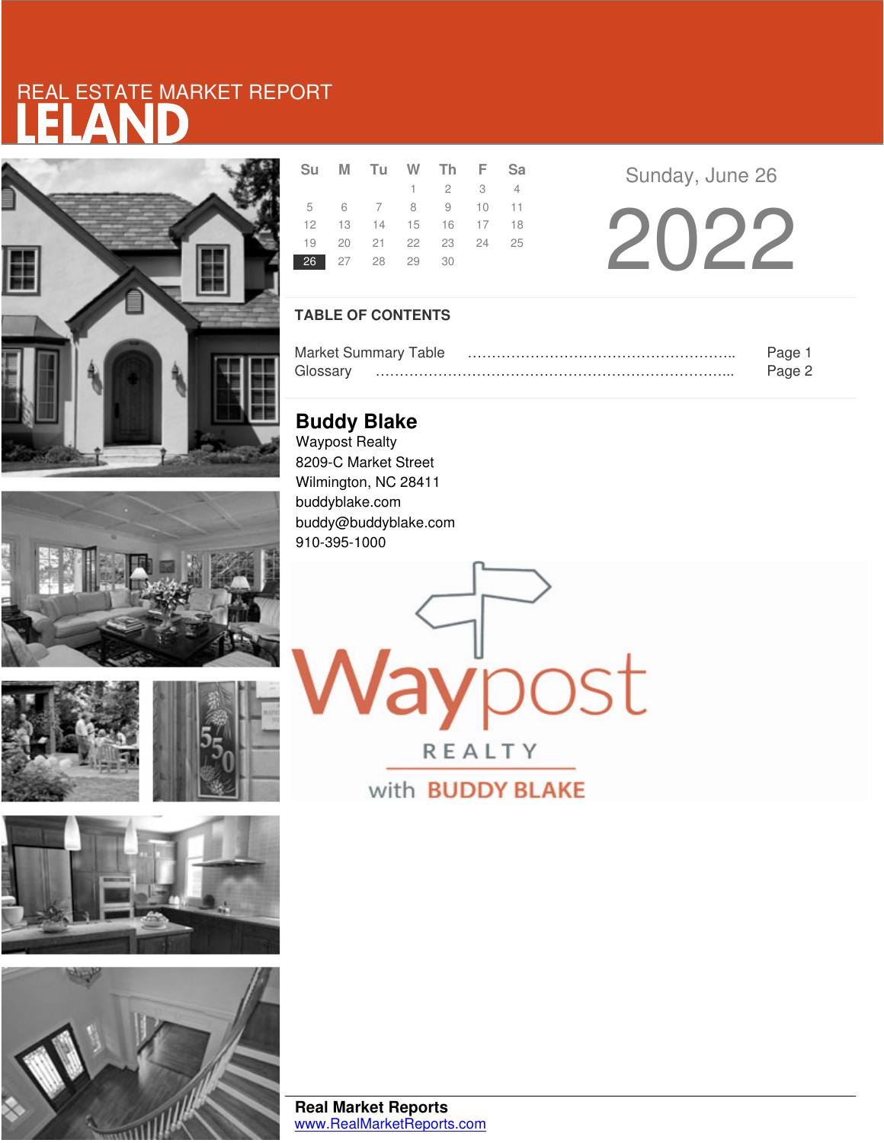# LELAND REAL ESTATE MARKET REPORT









|                | Su M Tu W Th F Sa          |                             |  |
|----------------|----------------------------|-----------------------------|--|
|                |                            | $1 \quad 2 \quad 3 \quad 4$ |  |
|                | 5 6 7 8 9 10 11            |                             |  |
|                | 12  13  14  15  16  17  18 |                             |  |
|                | 19 20 21 22 23 24 25       |                             |  |
| 26 27 28 29 30 |                            |                             |  |

Sunday, June 26

2022

### **TABLE OF CONTENTS**

|          | <b>Market Summary Table</b> | Page   |
|----------|-----------------------------|--------|
| Glossarv |                             | Page 2 |

**ay**post

REALTY

with **BUDDY BLAKE** 

**Buddy Blake** Waypost Realty 8209-C Market Street Wilmington, NC 28411 buddyblake.com buddy@buddyblake.com 910-395-1000

**Real Market Reports** www.RealMarketReports.com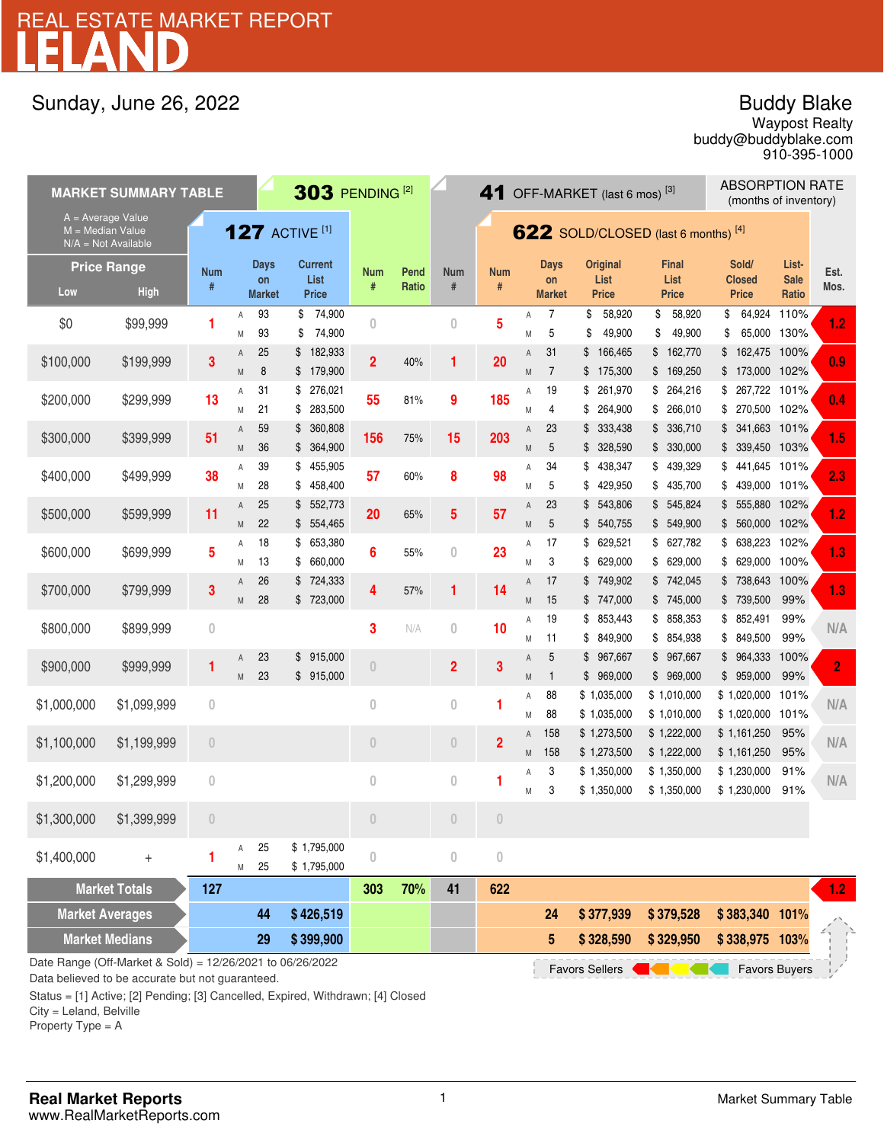# LELAND REAL ESTATE MARKET REPORT

## Sunday, June 26, 2022

## Buddy Blake

buddy@buddyblake.com Waypost Realty 910-395-1000

| <b>MARKET SUMMARY TABLE</b>                                                                                                                  |             |                       |        |                     |                                | 303 PENDING <sup>[2]</sup> |       |                                     |                  | 41 OFF-MARKET (last 6 mos) <sup>[3]</sup> |                      |                                |                              |                                          | <b>ABSORPTION RATE</b><br>(months of inventory) |         |  |
|----------------------------------------------------------------------------------------------------------------------------------------------|-------------|-----------------------|--------|---------------------|--------------------------------|----------------------------|-------|-------------------------------------|------------------|-------------------------------------------|----------------------|--------------------------------|------------------------------|------------------------------------------|-------------------------------------------------|---------|--|
| A = Average Value<br>$M = Median Value$<br>$N/A = Not Available$                                                                             |             | <b>127 ACTIVE [1]</b> |        |                     |                                |                            |       | 622 SOLD/CLOSED (last 6 months) [4] |                  |                                           |                      |                                |                              |                                          |                                                 |         |  |
| <b>Price Range</b>                                                                                                                           |             | <b>Num</b>            |        | <b>Days</b>         | <b>Current</b>                 | <b>Num</b>                 | Pend  | <b>Num</b>                          | <b>Num</b>       |                                           | <b>Days</b>          | <b>Original</b>                | <b>Final</b>                 | Sold/                                    | List-                                           | Est.    |  |
| Low                                                                                                                                          | <b>High</b> | #                     |        | on<br><b>Market</b> | List<br><b>Price</b>           | #                          | Ratio | #                                   | #                |                                           | on<br><b>Market</b>  | List<br><b>Price</b>           | List<br><b>Price</b>         | <b>Closed</b><br><b>Price</b>            | <b>Sale</b><br>Ratio                            | Mos.    |  |
| \$0                                                                                                                                          | \$99,999    | 1                     | A<br>Μ | 93<br>93            | \$<br>74,900<br>74,900<br>\$   | $\theta$                   |       | $\overline{0}$                      | 5                | Α<br>M                                    | 7<br>5               | 58,920<br>\$<br>49,900<br>\$   | 58,920<br>\$<br>\$<br>49,900 | 64,924<br>\$<br>\$                       | 110%<br>65,000 130%                             | 1.2     |  |
| \$100,000                                                                                                                                    | \$199,999   | 3                     | Α<br>M | 25<br>8             | 182,933<br>\$<br>179,900<br>\$ | $\overline{2}$             | 40%   | 1                                   | 20               | Α<br>M                                    | 31<br>$\overline{7}$ | 166,465<br>\$<br>175,300<br>\$ | \$162,770<br>\$169,250       | 162,475<br>\$<br>\$173,000 102%          | 100%                                            | 0.9     |  |
| \$200,000                                                                                                                                    | \$299,999   | 13                    | Α<br>M | 31<br>21            | 276,021<br>\$<br>283,500<br>\$ | 55                         | 81%   | 9                                   | 185              | Α<br>M                                    | 19<br>4              | 261,970<br>\$<br>264,900<br>\$ | \$264,216<br>\$266,010       | \$ 267,722 101%<br>270,500 102%<br>\$    |                                                 | 0.4     |  |
| \$300,000                                                                                                                                    | \$399,999   | 51                    | Α<br>M | 59<br>36            | 360,808<br>\$<br>\$364,900     | 156                        | 75%   | 15                                  | 203              | Α<br>M                                    | 23<br>5              | 333,438<br>\$<br>\$328,590     | \$336,710<br>\$330,000       | \$ 341,663 101%<br>\$ 339,450 103%       |                                                 | 1.5     |  |
| \$400,000                                                                                                                                    | \$499,999   | 38                    | Α<br>M | 39<br>28            | 455,905<br>\$<br>\$<br>458,400 | 57                         | 60%   | 8                                   | 98               | Α<br>M                                    | 34<br>5              | 438,347<br>\$<br>429,950<br>\$ | \$439,329<br>\$435,700       | 441,645 101%<br>\$<br>439,000 101%<br>\$ |                                                 | 2.3     |  |
| \$500,000                                                                                                                                    | \$599,999   | 11                    | A<br>M | 25<br>22            | \$552,773<br>\$554,465         | 20                         | 65%   | 5                                   | 57               | Α<br>M                                    | 23<br>5              | 543,806<br>\$<br>\$540,755     | \$545,824<br>\$549,900       | 555,880 102%<br>\$<br>\$ 560,000 102%    |                                                 | 1.2     |  |
| \$600,000                                                                                                                                    | \$699,999   | 5                     | Α<br>M | 18<br>13            | 653,380<br>\$<br>660,000<br>\$ | 6                          | 55%   | $\overline{0}$                      | 23               | Α<br>M                                    | 17<br>3              | 629,521<br>\$<br>629,000<br>\$ | \$627,782<br>\$629,000       | 638,223<br>\$<br>629,000 100%<br>\$      | 102%                                            | 1.3     |  |
| \$700,000                                                                                                                                    | \$799,999   | 3                     | Α<br>M | 26<br>28            | 724,333<br>\$<br>\$723,000     | 4                          | 57%   | 1                                   | 14               | Α<br>M                                    | 17<br>15             | 749,902<br>\$<br>\$747,000     | \$742,045<br>\$745,000       | \$738,643<br>\$739,500                   | 100%<br>99%                                     | 1.3     |  |
| \$800,000                                                                                                                                    | \$899,999   | $\mathbf{0}$          |        |                     |                                | 3                          | N/A   | $\overline{0}$                      | 10               | Α<br>M                                    | 19<br>11             | \$853,443<br>849,900<br>\$     | \$858,353<br>\$ 854,938      | \$852,491<br>\$849,500                   | 99%<br>99%                                      | N/A     |  |
| \$900,000                                                                                                                                    | \$999,999   | 1                     | A<br>M | 23<br>23            | 915,000<br>\$<br>\$915,000     | $\overline{0}$             |       | $\overline{\mathbf{2}}$             | 3                | Α<br>M                                    | 5<br>$\mathbf{1}$    | \$967,667<br>\$969,000         | \$967,667<br>\$969,000       | \$964,333<br>\$959,000                   | 100%<br>99%                                     | 2       |  |
| \$1,000,000                                                                                                                                  | \$1,099,999 | $\mathbf{0}$          |        |                     |                                | $\overline{0}$             |       | $\theta$                            | 1                | Α<br>M                                    | 88<br>88             | \$1,035,000<br>\$1,035,000     | \$1,010,000<br>\$1,010,000   | \$1,020,000<br>\$1,020,000 101%          | 101%                                            | N/A     |  |
| \$1,100,000                                                                                                                                  | \$1,199,999 | $\theta$              |        |                     |                                | $\theta$                   |       | $\theta$                            | $\overline{2}$   | Α<br>Μ                                    | 158<br>158           | \$1,273,500<br>\$1,273,500     | \$1,222,000<br>\$1,222,000   | \$1,161,250<br>\$1,161,250               | 95%<br>95%                                      | N/A     |  |
| \$1,200,000                                                                                                                                  | \$1,299,999 | $\bf 0$               |        |                     |                                | $\bf{0}$                   |       | $\boldsymbol{0}$                    | 1                | Α<br>M                                    | 3<br>3               | \$1,350,000<br>\$1,350,000     | \$1,350,000<br>\$1,350,000   | \$1,230,000<br>\$1,230,000               | 91%<br>91%                                      | N/A     |  |
| \$1,300,000                                                                                                                                  | \$1,399,999 | $\theta$              |        |                     |                                | $\overline{0}$             |       | $\theta$                            | $\theta$         |                                           |                      |                                |                              |                                          |                                                 |         |  |
| \$1,400,000                                                                                                                                  | $\ddagger$  | 1                     | Α<br>M | 25<br>25            | \$1,795,000<br>\$1,795,000     | $\,0\,$                    |       | $\theta$                            | $\boldsymbol{0}$ |                                           |                      |                                |                              |                                          |                                                 |         |  |
| <b>Market Totals</b>                                                                                                                         |             | 127                   |        |                     |                                | 303                        | 70%   | 41                                  | 622              |                                           |                      |                                |                              |                                          |                                                 | $1.2 -$ |  |
| <b>Market Averages</b>                                                                                                                       |             |                       |        | 44                  | \$426,519                      |                            |       |                                     |                  |                                           | 24                   | \$377,939                      | \$379,528                    | \$383,340 101%                           |                                                 |         |  |
| <b>Market Medians</b>                                                                                                                        |             |                       |        | 29                  | \$399,900                      |                            |       |                                     |                  |                                           | 5                    | \$328,590                      | \$329,950                    | \$338,975 103%                           |                                                 |         |  |
| Date Range (Off-Market & Sold) = $12/26/2021$ to $06/26/2022$<br><b>Favors Sellers</b><br><b>Favors Buyers</b><br>conunto but not quarantood |             |                       |        |                     |                                |                            |       |                                     |                  |                                           |                      |                                |                              |                                          |                                                 |         |  |

Data believed to be accurate but not guaranteed.

Status = [1] Active; [2] Pending; [3] Cancelled, Expired, Withdrawn; [4] Closed

City = Leland, Belville